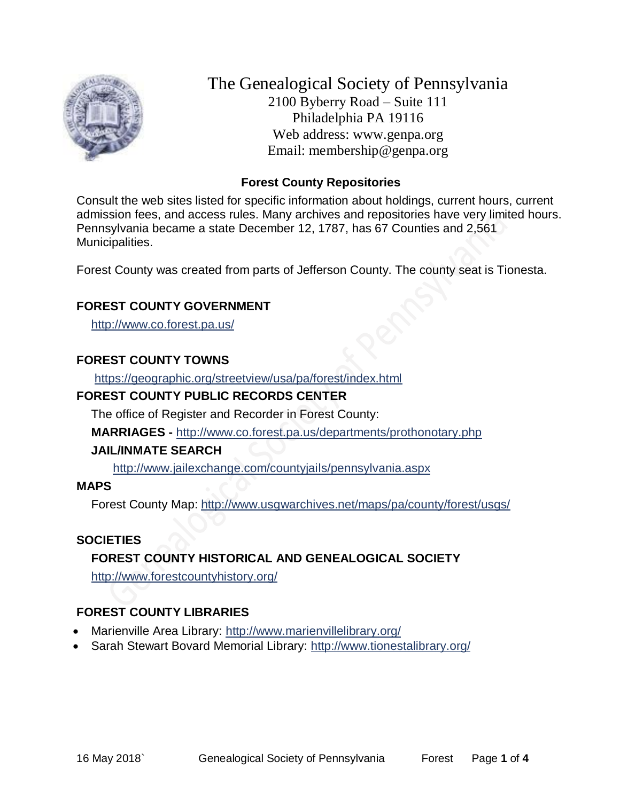

The Genealogical Society of Pennsylvania 2100 Byberry Road – Suite 111 Philadelphia PA 19116 Web address: www.genpa.org Email: membership@genpa.org

## **Forest County Repositories**

Consult the web sites listed for specific information about holdings, current hours, current admission fees, and access rules. Many archives and repositories have very limited hours. Pennsylvania became a state December 12, 1787, has 67 Counties and 2,561 Municipalities.

Forest County was created from parts of Jefferson County. The county seat is Tionesta.

## **FOREST COUNTY GOVERNMENT**

<http://www.co.forest.pa.us/>

#### **FOREST COUNTY TOWNS**

<https://geographic.org/streetview/usa/pa/forest/index.html>

#### **FOREST COUNTY PUBLIC RECORDS CENTER**

The office of Register and Recorder in Forest County:

**MARRIAGES -** <http://www.co.forest.pa.us/departments/prothonotary.php>

#### **JAIL/INMATE SEARCH**

<http://www.jailexchange.com/countyjails/pennsylvania.aspx>

#### **MAPS**

Forest County Map: <http://www.usgwarchives.net/maps/pa/county/forest/usgs/>

#### **SOCIETIES**

## **FOREST COUNTY HISTORICAL AND GENEALOGICAL SOCIETY**

<http://www.forestcountyhistory.org/>

## **FOREST COUNTY LIBRARIES**

- Marienville Area Library: <http://www.marienvillelibrary.org/>
- Sarah Stewart Bovard Memorial Library:<http://www.tionestalibrary.org/>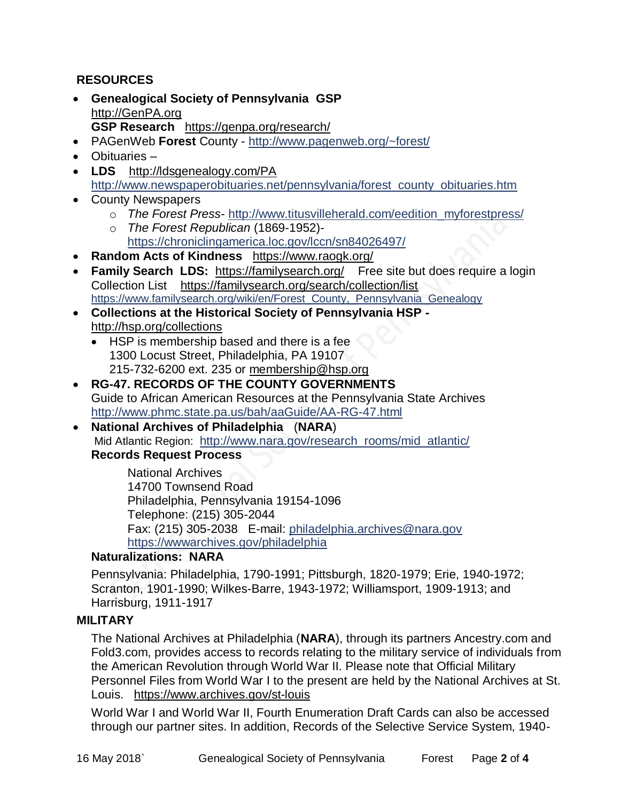## **RESOURCES**

- **Genealogical Society of Pennsylvania GSP** [http://GenPA.org](http://genpa.org/) **GSP Research** <https://genpa.org/research/>
- PAGenWeb **Forest** County <http://www.pagenweb.org/~forest/>
- Obituaries –
- **LDS** <http://ldsgenealogy.com/PA> [http://www.newspaperobituaries.net/pennsylvania/forest\\_county\\_obituaries.htm](http://www.newspaperobituaries.net/pennsylvania/forest_county_obituaries.htm)
- County Newspapers
	- o *The Forest Press* [http://www.titusvilleherald.com/eedition\\_myforestpress/](http://www.titusvilleherald.com/eedition_myforestpress/)
	- o *The Forest Republican* (1869-1952) <https://chroniclingamerica.loc.gov/lccn/sn84026497/>
- **Random Acts of Kindness** <https://www.raogk.org/>
- **Family Search LDS:** <https://familysearch.org/>Free site but does require a login Collection List <https://familysearch.org/search/collection/list> [https://www.familysearch.org/wiki/en/Forest\\_County,\\_Pennsylvania\\_Genealogy](https://www.familysearch.org/wiki/en/Forest_County,_Pennsylvania_Genealogy)
- **Collections at the Historical Society of Pennsylvania HSP**  <http://hsp.org/collections>
	- HSP is membership based and there is a fee 1300 Locust Street, Philadelphia, PA 19107 215-732-6200 ext. 235 or [membership@hsp.org](mailto:membership@hsp.org)
- **RG-47. RECORDS OF THE COUNTY GOVERNMENTS** Guide to African American Resources at the Pennsylvania State Archives <http://www.phmc.state.pa.us/bah/aaGuide/AA-RG-47.html>
- **National Archives of Philadelphia** (**NARA**) Mid Atlantic Region: [http://www.nara.gov/research\\_rooms/mid\\_atlantic/](http://www.nara.gov/research_rooms/mid_atlantic/) **Records Request Process**

National Archives 14700 Townsend Road Philadelphia, Pennsylvania 19154-1096 Telephone: (215) 305-2044 Fax: (215) 305-2038 E-mail: [philadelphia.archives@nara.gov](mailto:philadelphia.archives@nara.gov) <https://wwwarchives.gov/philadelphia>

## **Naturalizations: NARA**

Pennsylvania: Philadelphia, 1790-1991; Pittsburgh, 1820-1979; Erie, 1940-1972; Scranton, 1901-1990; Wilkes-Barre, 1943-1972; Williamsport, 1909-1913; and Harrisburg, 1911-1917

## **MILITARY**

The National Archives at Philadelphia (**NARA**), through its partners Ancestry.com and Fold3.com, provides access to records relating to the military service of individuals from the American Revolution through World War II. Please note that Official Military Personnel Files from World War I to the present are held by the National Archives at St. Louis. <https://www.archives.gov/st-louis>

World War I and World War II, Fourth Enumeration Draft Cards can also be accessed through our partner sites. In addition, Records of the Selective Service System, 1940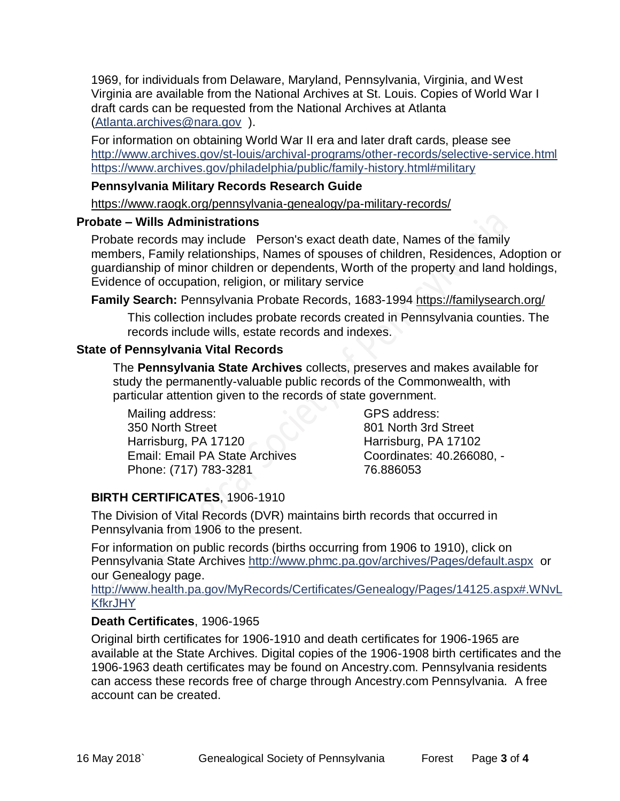1969, for individuals from Delaware, Maryland, Pennsylvania, Virginia, and West Virginia are available from the National Archives at St. Louis. Copies of World War I draft cards can be requested from the National Archives at Atlanta [\(Atlanta.archives@nara.gov](mailto:Atlanta.archives@nara.gov) ).

For information on obtaining World War II era and later draft cards, please see <http://www.archives.gov/st-louis/archival-programs/other-records/selective-service.html> <https://www.archives.gov/philadelphia/public/family-history.html#military>

## **Pennsylvania Military Records Research Guide**

<https://www.raogk.org/pennsylvania-genealogy/pa-military-records/>

#### **Probate – Wills Administrations**

Probate records may include Person's exact death date, Names of the family members, Family relationships, Names of spouses of children, Residences, Adoption or guardianship of minor children or dependents, Worth of the property and land holdings, Evidence of occupation, religion, or military service

**Family Search:** Pennsylvania Probate Records, 1683-1994 <https://familysearch.org/>

This collection includes probate records created in Pennsylvania counties. The records include wills, estate records and indexes.

## **State of Pennsylvania Vital Records**

The **Pennsylvania State Archives** collects, preserves and makes available for study the permanently-valuable public records of the Commonwealth, with particular attention given to the records of state government.

Mailing address: 350 North Street Harrisburg, PA 17120 Email: Email PA State Archives Phone: (717) 783-3281

GPS address: 801 North 3rd Street Harrisburg, PA 17102 Coordinates: 40.266080, - 76.886053

# **BIRTH CERTIFICATES**, 1906-1910

The Division of Vital Records (DVR) maintains birth records that occurred in Pennsylvania from 1906 to the present.

For information on public records (births occurring from 1906 to 1910), click on Pennsylvania State Archives <http://www.phmc.pa.gov/archives/Pages/default.aspx>or our Genealogy page.

[http://www.health.pa.gov/MyRecords/Certificates/Genealogy/Pages/14125.aspx#.WNvL](http://www.health.pa.gov/MyRecords/Certificates/Genealogy/Pages/14125.aspx#.WNvLKfkrJHY) **[KfkrJHY](http://www.health.pa.gov/MyRecords/Certificates/Genealogy/Pages/14125.aspx#.WNvLKfkrJHY)** 

# **Death Certificates**, 1906-1965

Original birth certificates for 1906-1910 and death certificates for 1906-1965 are available at the State Archives. Digital copies of the 1906-1908 birth certificates and the 1906-1963 death certificates may be found on Ancestry.com. Pennsylvania residents can access these records free of charge through Ancestry.com Pennsylvania. A free account can be created.